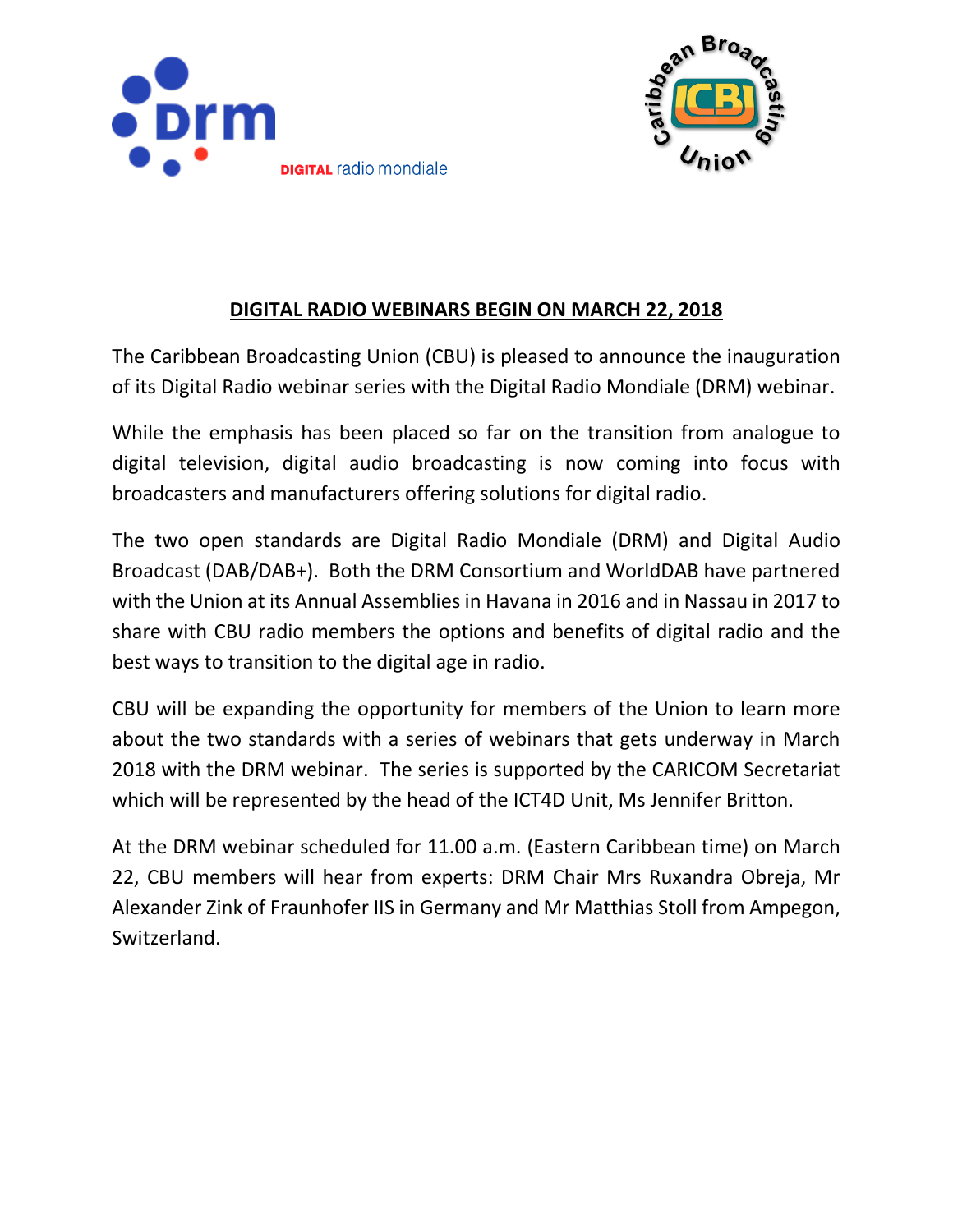



## **DIGITAL RADIO WEBINARS BEGIN ON MARCH 22, 2018**

The Caribbean Broadcasting Union (CBU) is pleased to announce the inauguration of its Digital Radio webinar series with the Digital Radio Mondiale (DRM) webinar.

While the emphasis has been placed so far on the transition from analogue to digital television, digital audio broadcasting is now coming into focus with broadcasters and manufacturers offering solutions for digital radio.

The two open standards are Digital Radio Mondiale (DRM) and Digital Audio Broadcast (DAB/DAB+). Both the DRM Consortium and WorldDAB have partnered with the Union at its Annual Assemblies in Havana in 2016 and in Nassau in 2017 to share with CBU radio members the options and benefits of digital radio and the best ways to transition to the digital age in radio.

CBU will be expanding the opportunity for members of the Union to learn more about the two standards with a series of webinars that gets underway in March 2018 with the DRM webinar. The series is supported by the CARICOM Secretariat which will be represented by the head of the ICT4D Unit, Ms Jennifer Britton.

At the DRM webinar scheduled for 11.00 a.m. (Eastern Caribbean time) on March 22, CBU members will hear from experts: DRM Chair Mrs Ruxandra Obreja, Mr Alexander Zink of Fraunhofer IIS in Germany and Mr Matthias Stoll from Ampegon, Switzerland.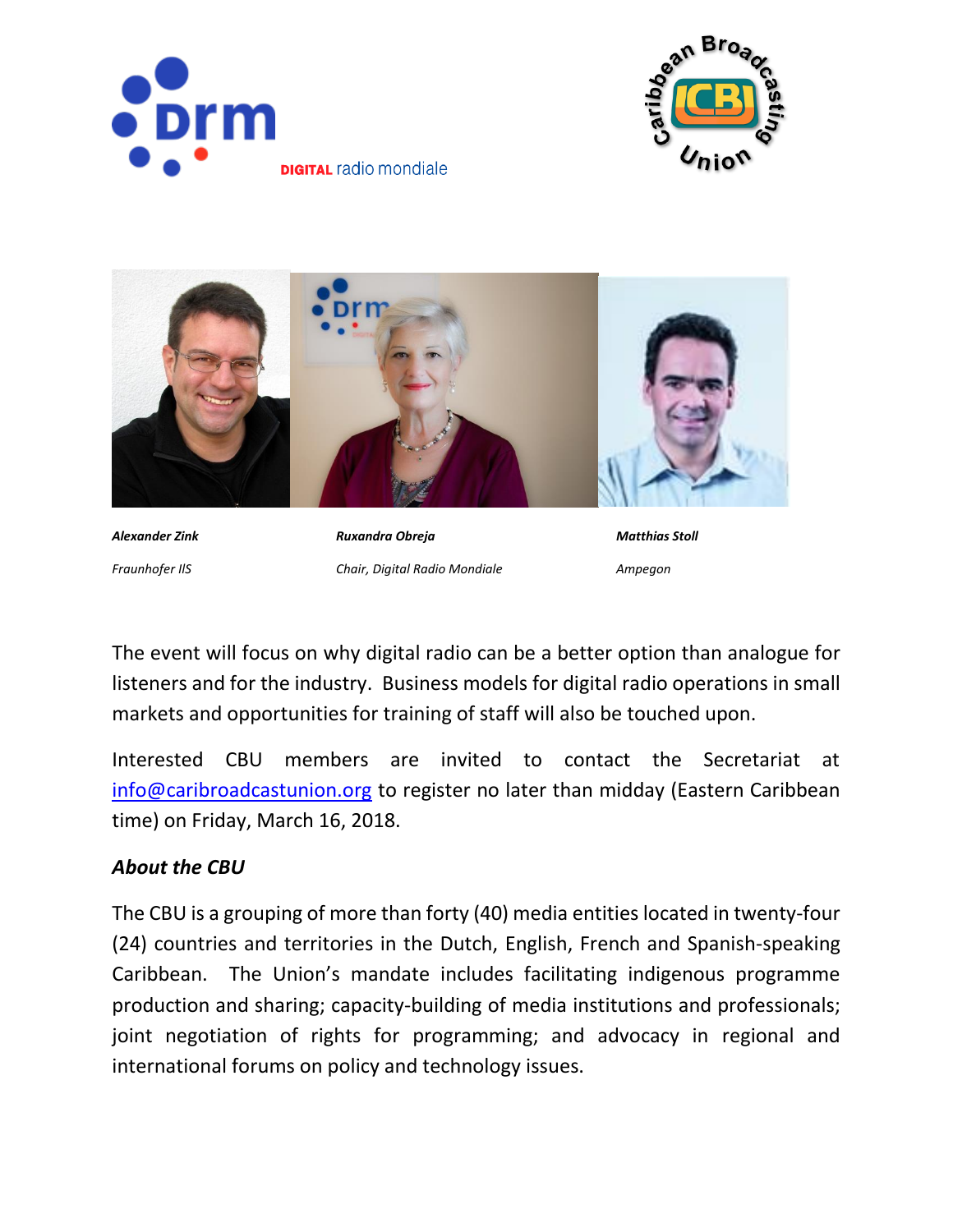





*Alexander Zink Ruxandra Obreja Matthias Stoll Fraunhofer IlS Chair, Digital Radio Mondiale Ampegon*

The event will focus on why digital radio can be a better option than analogue for listeners and for the industry. Business models for digital radio operations in small markets and opportunities for training of staff will also be touched upon.

Interested CBU members are invited to contact the Secretariat at [info@caribroadcastunion.org](mailto:info@caribroadcastunion.org) to register no later than midday (Eastern Caribbean time) on Friday, March 16, 2018.

## *About the CBU*

The CBU is a grouping of more than forty (40) media entities located in twenty-four (24) countries and territories in the Dutch, English, French and Spanish-speaking Caribbean. The Union's mandate includes facilitating indigenous programme production and sharing; capacity-building of media institutions and professionals; joint negotiation of rights for programming; and advocacy in regional and international forums on policy and technology issues.